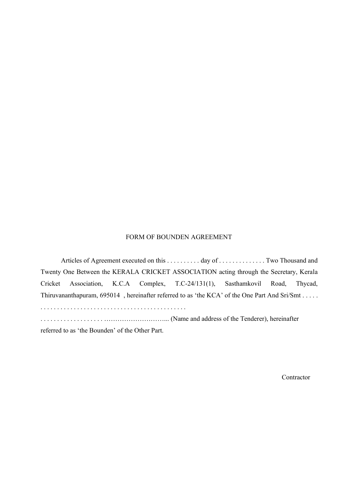## FORM OF BOUNDEN AGREEMENT

Articles of Agreement executed on this . . . . . . . . . . day of . . . . . . . . . . . . . . Two Thousand and Twenty One Between the KERALA CRICKET ASSOCIATION acting through the Secretary, Kerala Cricket Association, K.C.A Complex, T.C-24/131(1), Sasthamkovil Road, Thycad, Thiruvananthapuram, 695014 , hereinafter referred to as 'the KCA' of the One Part And Sri/Smt . . . . . . . . . . . . . . . . . . . . . . . . . . . . . . . . . . . . . . . . . . . . . . . . . . . . . . . . . . . . . . . . . . . . ………………………... (Name and address of the Tenderer), hereinafter referred to as 'the Bounden' of the Other Part.

**Contractor**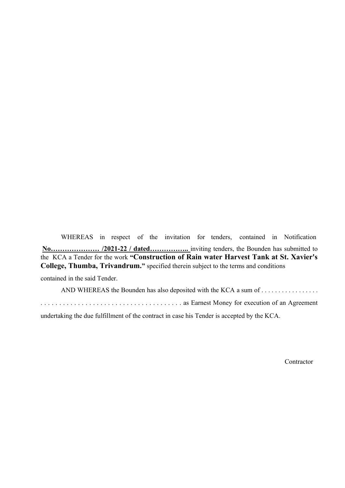WHEREAS in respect of the invitation for tenders, contained in Notification **No………………… /2021-22 / dated……………..** inviting tenders, the Bounden has submitted to the KCA a Tender for the work **"Construction of Rain water Harvest Tank at St. Xavier's College, Thumba, Trivandrum."** specified therein subject to the terms and conditions

contained in the said Tender.

AND WHEREAS the Bounden has also deposited with the KCA a sum of . . . . . . . . . . . . . . . . . .

. . . . . . . . . . . . . . . . . . . . . . . . . . . . . . . . . . . . . . as Earnest Money for execution of an Agreement

undertaking the due fulfillment of the contract in case his Tender is accepted by the KCA.

**Contractor**